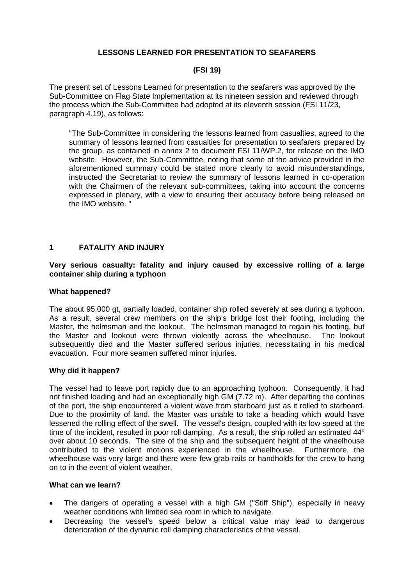# **LESSONS LEARNED FOR PRESENTATION TO SEAFARERS**

## **(FSI 19)**

The present set of Lessons Learned for presentation to the seafarers was approved by the Sub-Committee on Flag State Implementation at its nineteen session and reviewed through the process which the Sub-Committee had adopted at its eleventh session (FSI 11/23, paragraph 4.19), as follows:

"The Sub-Committee in considering the lessons learned from casualties, agreed to the summary of lessons learned from casualties for presentation to seafarers prepared by the group, as contained in annex 2 to document FSI 11/WP.2, for release on the IMO website. However, the Sub-Committee, noting that some of the advice provided in the aforementioned summary could be stated more clearly to avoid misunderstandings, instructed the Secretariat to review the summary of lessons learned in co-operation with the Chairmen of the relevant sub-committees, taking into account the concerns expressed in plenary, with a view to ensuring their accuracy before being released on the IMO website. "

## **1 FATALITY AND INJURY**

### **Very serious casualty: fatality and injury caused by excessive rolling of a large container ship during a typhoon**

#### **What happened?**

The about 95,000 gt, partially loaded, container ship rolled severely at sea during a typhoon. As a result, several crew members on the ship's bridge lost their footing, including the Master, the helmsman and the lookout. The helmsman managed to regain his footing, but the Master and lookout were thrown violently across the wheelhouse. The lookout subsequently died and the Master suffered serious injuries, necessitating in his medical evacuation. Four more seamen suffered minor injuries.

#### **Why did it happen?**

The vessel had to leave port rapidly due to an approaching typhoon. Consequently, it had not finished loading and had an exceptionally high GM (7.72 m). After departing the confines of the port, the ship encountered a violent wave from starboard just as it rolled to starboard. Due to the proximity of land, the Master was unable to take a heading which would have lessened the rolling effect of the swell. The vessel's design, coupled with its low speed at the time of the incident, resulted in poor roll damping. As a result, the ship rolled an estimated 44° over about 10 seconds. The size of the ship and the subsequent height of the wheelhouse contributed to the violent motions experienced in the wheelhouse. Furthermore, the wheelhouse was very large and there were few grab-rails or handholds for the crew to hang on to in the event of violent weather.

- The dangers of operating a vessel with a high GM ("Stiff Ship"), especially in heavy weather conditions with limited sea room in which to navigate.
- Decreasing the vessel's speed below a critical value may lead to dangerous deterioration of the dynamic roll damping characteristics of the vessel.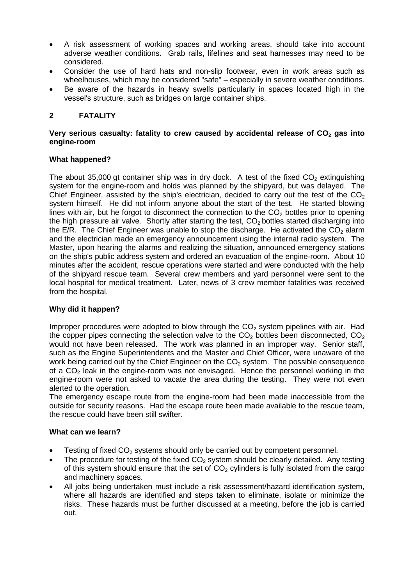- A risk assessment of working spaces and working areas, should take into account adverse weather conditions. Grab rails, lifelines and seat harnesses may need to be considered.
- Consider the use of hard hats and non-slip footwear, even in work areas such as wheelhouses, which may be considered "safe" – especially in severe weather conditions.
- Be aware of the hazards in heavy swells particularly in spaces located high in the vessel's structure, such as bridges on large container ships.

# **2 FATALITY**

### **Very serious casualty: fatality to crew caused by accidental release of CO<sup>2</sup> gas into engine-room**

## **What happened?**

The about 35,000 gt container ship was in dry dock. A test of the fixed  $CO<sub>2</sub>$  extinguishing system for the engine-room and holds was planned by the shipyard, but was delayed. The Chief Engineer, assisted by the ship's electrician, decided to carry out the test of the  $CO<sub>2</sub>$ system himself. He did not inform anyone about the start of the test. He started blowing lines with air, but he forgot to disconnect the connection to the  $CO<sub>2</sub>$  bottles prior to opening the high pressure air valve. Shortly after starting the test,  $CO<sub>2</sub>$  bottles started discharging into the E/R. The Chief Engineer was unable to stop the discharge. He activated the  $CO<sub>2</sub>$  alarm and the electrician made an emergency announcement using the internal radio system. The Master, upon hearing the alarms and realizing the situation, announced emergency stations on the ship's public address system and ordered an evacuation of the engine-room. About 10 minutes after the accident, rescue operations were started and were conducted with the help of the shipyard rescue team. Several crew members and yard personnel were sent to the local hospital for medical treatment. Later, news of 3 crew member fatalities was received from the hospital.

## **Why did it happen?**

Improper procedures were adopted to blow through the  $CO<sub>2</sub>$  system pipelines with air. Had the copper pipes connecting the selection valve to the  $CO<sub>2</sub>$  bottles been disconnected,  $CO<sub>2</sub>$ would not have been released. The work was planned in an improper way. Senior staff, such as the Engine Superintendents and the Master and Chief Officer, were unaware of the work being carried out by the Chief Engineer on the  $CO<sub>2</sub>$  system. The possible consequence of a  $CO<sub>2</sub>$  leak in the engine-room was not envisaged. Hence the personnel working in the engine-room were not asked to vacate the area during the testing. They were not even alerted to the operation.

The emergency escape route from the engine-room had been made inaccessible from the outside for security reasons. Had the escape route been made available to the rescue team, the rescue could have been still swifter.

- Testing of fixed  $CO<sub>2</sub>$  systems should only be carried out by competent personnel.
- The procedure for testing of the fixed  $CO<sub>2</sub>$  system should be clearly detailed. Any testing of this system should ensure that the set of  $CO<sub>2</sub>$  cylinders is fully isolated from the cargo and machinery spaces.
- All jobs being undertaken must include a risk assessment/hazard identification system, where all hazards are identified and steps taken to eliminate, isolate or minimize the risks. These hazards must be further discussed at a meeting, before the job is carried out.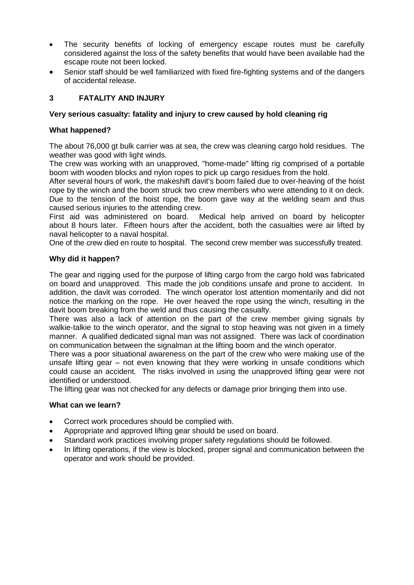- The security benefits of locking of emergency escape routes must be carefully considered against the loss of the safety benefits that would have been available had the escape route not been locked.
- Senior staff should be well familiarized with fixed fire-fighting systems and of the dangers of accidental release.

# **3 FATALITY AND INJURY**

# **Very serious casualty: fatality and injury to crew caused by hold cleaning rig**

## **What happened?**

The about 76,000 gt bulk carrier was at sea, the crew was cleaning cargo hold residues. The weather was good with light winds.

The crew was working with an unapproved, "home-made" lifting rig comprised of a portable boom with wooden blocks and nylon ropes to pick up cargo residues from the hold.

After several hours of work, the makeshift davit's boom failed due to over-heaving of the hoist rope by the winch and the boom struck two crew members who were attending to it on deck. Due to the tension of the hoist rope, the boom gave way at the welding seam and thus caused serious injuries to the attending crew.

First aid was administered on board. Medical help arrived on board by helicopter about 8 hours later. Fifteen hours after the accident, both the casualties were air lifted by naval helicopter to a naval hospital.

One of the crew died en route to hospital. The second crew member was successfully treated.

# **Why did it happen?**

The gear and rigging used for the purpose of lifting cargo from the cargo hold was fabricated on board and unapproved. This made the job conditions unsafe and prone to accident. In addition, the davit was corroded. The winch operator lost attention momentarily and did not notice the marking on the rope. He over heaved the rope using the winch, resulting in the davit boom breaking from the weld and thus causing the casualty.

There was also a lack of attention on the part of the crew member giving signals by walkie-talkie to the winch operator, and the signal to stop heaving was not given in a timely manner. A qualified dedicated signal man was not assigned. There was lack of coordination on communication between the signalman at the lifting boom and the winch operator.

There was a poor situational awareness on the part of the crew who were making use of the unsafe lifting gear – not even knowing that they were working in unsafe conditions which could cause an accident. The risks involved in using the unapproved lifting gear were not identified or understood.

The lifting gear was not checked for any defects or damage prior bringing them into use.

- Correct work procedures should be complied with.
- Appropriate and approved lifting gear should be used on board.
- Standard work practices involving proper safety regulations should be followed.
- In lifting operations, if the view is blocked, proper signal and communication between the operator and work should be provided.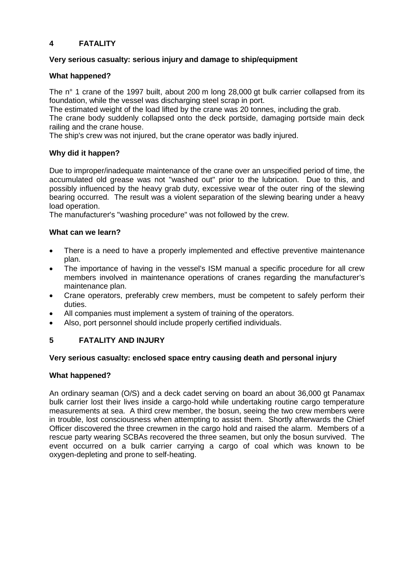# **4 FATALITY**

## **Very serious casualty: serious injury and damage to ship/equipment**

## **What happened?**

The n° 1 crane of the 1997 built, about 200 m long 28,000 gt bulk carrier collapsed from its foundation, while the vessel was discharging steel scrap in port.

The estimated weight of the load lifted by the crane was 20 tonnes, including the grab.

The crane body suddenly collapsed onto the deck portside, damaging portside main deck railing and the crane house.

The ship's crew was not injured, but the crane operator was badly injured.

## **Why did it happen?**

Due to improper/inadequate maintenance of the crane over an unspecified period of time, the accumulated old grease was not "washed out" prior to the lubrication. Due to this, and possibly influenced by the heavy grab duty, excessive wear of the outer ring of the slewing bearing occurred. The result was a violent separation of the slewing bearing under a heavy load operation.

The manufacturer's "washing procedure" was not followed by the crew.

## **What can we learn?**

- There is a need to have a properly implemented and effective preventive maintenance plan.
- The importance of having in the vessel's ISM manual a specific procedure for all crew members involved in maintenance operations of cranes regarding the manufacturer's maintenance plan.
- Crane operators, preferably crew members, must be competent to safely perform their duties.
- All companies must implement a system of training of the operators.
- Also, port personnel should include properly certified individuals.

# **5 FATALITY AND INJURY**

## **Very serious casualty: enclosed space entry causing death and personal injury**

## **What happened?**

An ordinary seaman (O/S) and a deck cadet serving on board an about 36,000 gt Panamax bulk carrier lost their lives inside a cargo-hold while undertaking routine cargo temperature measurements at sea. A third crew member, the bosun, seeing the two crew members were in trouble, lost consciousness when attempting to assist them. Shortly afterwards the Chief Officer discovered the three crewmen in the cargo hold and raised the alarm. Members of a rescue party wearing SCBAs recovered the three seamen, but only the bosun survived. The event occurred on a bulk carrier carrying a cargo of coal which was known to be oxygen-depleting and prone to self-heating.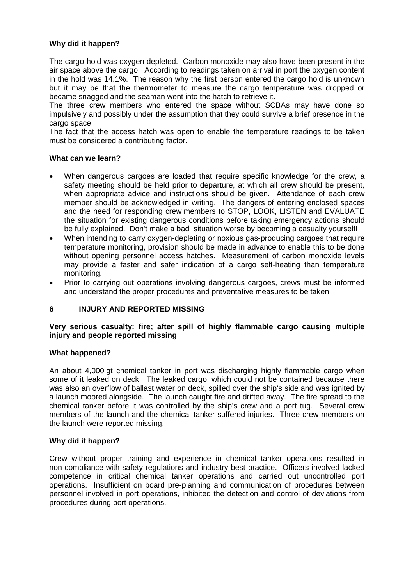The cargo-hold was oxygen depleted. Carbon monoxide may also have been present in the air space above the cargo. According to readings taken on arrival in port the oxygen content in the hold was 14.1%. The reason why the first person entered the cargo hold is unknown but it may be that the thermometer to measure the cargo temperature was dropped or became snagged and the seaman went into the hatch to retrieve it.

The three crew members who entered the space without SCBAs may have done so impulsively and possibly under the assumption that they could survive a brief presence in the cargo space.

The fact that the access hatch was open to enable the temperature readings to be taken must be considered a contributing factor.

### **What can we learn?**

- When dangerous cargoes are loaded that require specific knowledge for the crew, a safety meeting should be held prior to departure, at which all crew should be present, when appropriate advice and instructions should be given. Attendance of each crew member should be acknowledged in writing. The dangers of entering enclosed spaces and the need for responding crew members to STOP, LOOK, LISTEN and EVALUATE the situation for existing dangerous conditions before taking emergency actions should be fully explained. Don't make a bad situation worse by becoming a casualty yourself!
- When intending to carry oxygen-depleting or noxious gas-producing cargoes that require temperature monitoring, provision should be made in advance to enable this to be done without opening personnel access hatches. Measurement of carbon monoxide levels may provide a faster and safer indication of a cargo self-heating than temperature monitoring.
- Prior to carrying out operations involving dangerous cargoes, crews must be informed and understand the proper procedures and preventative measures to be taken.

## **6 INJURY AND REPORTED MISSING**

### **Very serious casualty: fire; after spill of highly flammable cargo causing multiple injury and people reported missing**

### **What happened?**

An about 4,000 gt chemical tanker in port was discharging highly flammable cargo when some of it leaked on deck. The leaked cargo, which could not be contained because there was also an overflow of ballast water on deck, spilled over the ship's side and was ignited by a launch moored alongside. The launch caught fire and drifted away. The fire spread to the chemical tanker before it was controlled by the ship's crew and a port tug. Several crew members of the launch and the chemical tanker suffered injuries. Three crew members on the launch were reported missing.

#### **Why did it happen?**

Crew without proper training and experience in chemical tanker operations resulted in non-compliance with safety regulations and industry best practice. Officers involved lacked competence in critical chemical tanker operations and carried out uncontrolled port operations. Insufficient on board pre-planning and communication of procedures between personnel involved in port operations, inhibited the detection and control of deviations from procedures during port operations.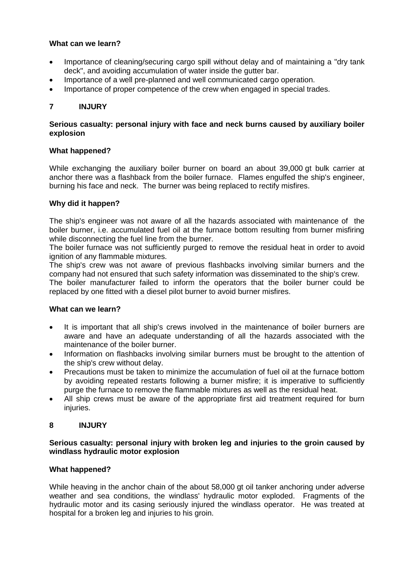## **What can we learn?**

- Importance of cleaning/securing cargo spill without delay and of maintaining a "dry tank deck", and avoiding accumulation of water inside the gutter bar.
- Importance of a well pre-planned and well communicated cargo operation.
- Importance of proper competence of the crew when engaged in special trades.

# **7 INJURY**

## **Serious casualty: personal injury with face and neck burns caused by auxiliary boiler explosion**

### **What happened?**

While exchanging the auxiliary boiler burner on board an about 39,000 at bulk carrier at anchor there was a flashback from the boiler furnace. Flames engulfed the ship's engineer, burning his face and neck. The burner was being replaced to rectify misfires.

## **Why did it happen?**

The ship's engineer was not aware of all the hazards associated with maintenance of the boiler burner, i.e. accumulated fuel oil at the furnace bottom resulting from burner misfiring while disconnecting the fuel line from the burner.

The boiler furnace was not sufficiently purged to remove the residual heat in order to avoid ignition of any flammable mixtures.

The ship's crew was not aware of previous flashbacks involving similar burners and the company had not ensured that such safety information was disseminated to the ship's crew.

The boiler manufacturer failed to inform the operators that the boiler burner could be replaced by one fitted with a diesel pilot burner to avoid burner misfires.

### **What can we learn?**

- It is important that all ship's crews involved in the maintenance of boiler burners are aware and have an adequate understanding of all the hazards associated with the maintenance of the boiler burner.
- Information on flashbacks involving similar burners must be brought to the attention of the ship's crew without delay.
- Precautions must be taken to minimize the accumulation of fuel oil at the furnace bottom by avoiding repeated restarts following a burner misfire; it is imperative to sufficiently purge the furnace to remove the flammable mixtures as well as the residual heat.
- All ship crews must be aware of the appropriate first aid treatment required for burn iniuries.

## **8 INJURY**

### **Serious casualty: personal injury with broken leg and injuries to the groin caused by windlass hydraulic motor explosion**

## **What happened?**

While heaving in the anchor chain of the about 58,000 gt oil tanker anchoring under adverse weather and sea conditions, the windlass' hydraulic motor exploded. Fragments of the hydraulic motor and its casing seriously injured the windlass operator. He was treated at hospital for a broken leg and injuries to his groin.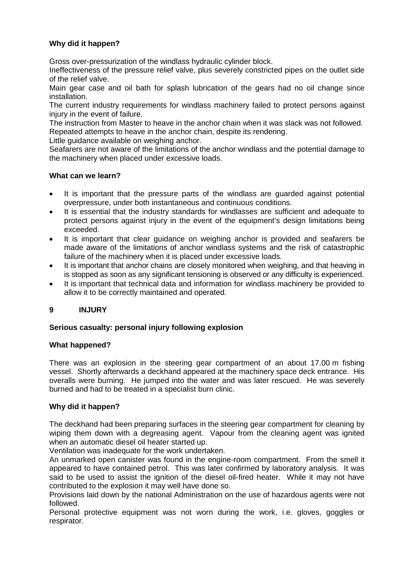Gross over-pressurization of the windlass hydraulic cylinder block.

Ineffectiveness of the pressure relief valve, plus severely constricted pipes on the outlet side of the relief valve.

Main gear case and oil bath for splash lubrication of the gears had no oil change since installation.

The current industry requirements for windlass machinery failed to protect persons against injury in the event of failure.

The instruction from Master to heave in the anchor chain when it was slack was not followed. Repeated attempts to heave in the anchor chain, despite its rendering.

Little guidance available on weighing anchor.

Seafarers are not aware of the limitations of the anchor windlass and the potential damage to the machinery when placed under excessive loads.

#### **What can we learn?**

- It is important that the pressure parts of the windlass are guarded against potential overpressure, under both instantaneous and continuous conditions.
- It is essential that the industry standards for windlasses are sufficient and adequate to protect persons against injury in the event of the equipment's design limitations being exceeded.
- It is important that clear guidance on weighing anchor is provided and seafarers be made aware of the limitations of anchor windlass systems and the risk of catastrophic failure of the machinery when it is placed under excessive loads.
- It is important that anchor chains are closely monitored when weighing, and that heaving in is stopped as soon as any significant tensioning is observed or any difficulty is experienced.
- It is important that technical data and information for windlass machinery be provided to allow it to be correctly maintained and operated.

## **9 INJURY**

#### **Serious casualty: personal injury following explosion**

#### **What happened?**

There was an explosion in the steering gear compartment of an about 17.00 m fishing vessel. Shortly afterwards a deckhand appeared at the machinery space deck entrance. His overalls were burning. He jumped into the water and was later rescued. He was severely burned and had to be treated in a specialist burn clinic.

#### **Why did it happen?**

The deckhand had been preparing surfaces in the steering gear compartment for cleaning by wiping them down with a degreasing agent. Vapour from the cleaning agent was ignited when an automatic diesel oil heater started up.

Ventilation was inadequate for the work undertaken.

An unmarked open canister was found in the engine-room compartment. From the smell it appeared to have contained petrol. This was later confirmed by laboratory analysis. It was said to be used to assist the ignition of the diesel oil-fired heater. While it may not have contributed to the explosion it may well have done so.

Provisions laid down by the national Administration on the use of hazardous agents were not followed.

Personal protective equipment was not worn during the work, i.e. gloves, goggles or respirator.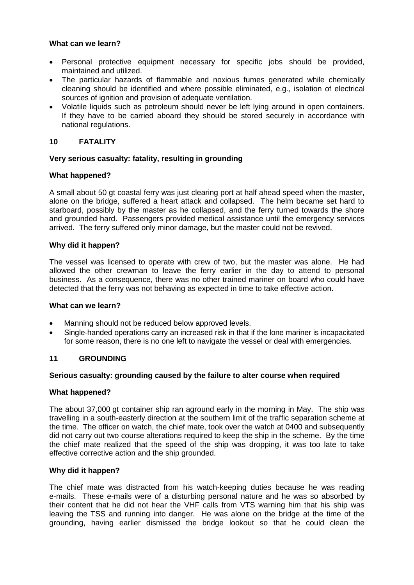## **What can we learn?**

- Personal protective equipment necessary for specific jobs should be provided, maintained and utilized.
- The particular hazards of flammable and noxious fumes generated while chemically cleaning should be identified and where possible eliminated, e.g., isolation of electrical sources of ignition and provision of adequate ventilation.
- Volatile liquids such as petroleum should never be left lying around in open containers. If they have to be carried aboard they should be stored securely in accordance with national regulations.

## **10 FATALITY**

## **Very serious casualty: fatality, resulting in grounding**

### **What happened?**

A small about 50 gt coastal ferry was just clearing port at half ahead speed when the master, alone on the bridge, suffered a heart attack and collapsed. The helm became set hard to starboard, possibly by the master as he collapsed, and the ferry turned towards the shore and grounded hard. Passengers provided medical assistance until the emergency services arrived. The ferry suffered only minor damage, but the master could not be revived.

### **Why did it happen?**

The vessel was licensed to operate with crew of two, but the master was alone. He had allowed the other crewman to leave the ferry earlier in the day to attend to personal business. As a consequence, there was no other trained mariner on board who could have detected that the ferry was not behaving as expected in time to take effective action.

#### **What can we learn?**

- Manning should not be reduced below approved levels.
- Single-handed operations carry an increased risk in that if the lone mariner is incapacitated for some reason, there is no one left to navigate the vessel or deal with emergencies.

## **11 GROUNDING**

#### **Serious casualty: grounding caused by the failure to alter course when required**

#### **What happened?**

The about 37,000 gt container ship ran aground early in the morning in May. The ship was travelling in a south-easterly direction at the southern limit of the traffic separation scheme at the time. The officer on watch, the chief mate, took over the watch at 0400 and subsequently did not carry out two course alterations required to keep the ship in the scheme. By the time the chief mate realized that the speed of the ship was dropping, it was too late to take effective corrective action and the ship grounded.

#### **Why did it happen?**

The chief mate was distracted from his watch-keeping duties because he was reading e-mails. These e-mails were of a disturbing personal nature and he was so absorbed by their content that he did not hear the VHF calls from VTS warning him that his ship was leaving the TSS and running into danger. He was alone on the bridge at the time of the grounding, having earlier dismissed the bridge lookout so that he could clean the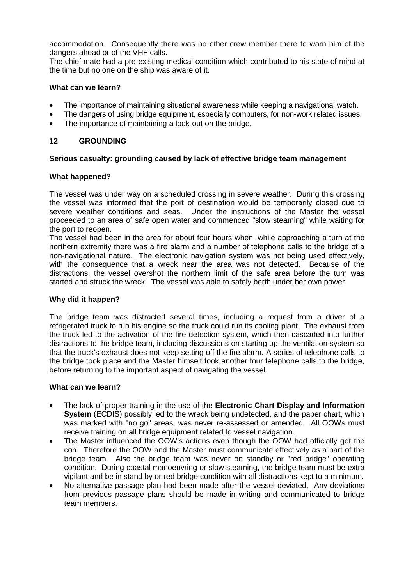accommodation. Consequently there was no other crew member there to warn him of the dangers ahead or of the VHF calls.

The chief mate had a pre-existing medical condition which contributed to his state of mind at the time but no one on the ship was aware of it.

## **What can we learn?**

- The importance of maintaining situational awareness while keeping a navigational watch.
- The dangers of using bridge equipment, especially computers, for non-work related issues.
- The importance of maintaining a look-out on the bridge.

# **12 GROUNDING**

## **Serious casualty: grounding caused by lack of effective bridge team management**

## **What happened?**

The vessel was under way on a scheduled crossing in severe weather. During this crossing the vessel was informed that the port of destination would be temporarily closed due to severe weather conditions and seas. Under the instructions of the Master the vessel proceeded to an area of safe open water and commenced "slow steaming" while waiting for the port to reopen.

The vessel had been in the area for about four hours when, while approaching a turn at the northern extremity there was a fire alarm and a number of telephone calls to the bridge of a non-navigational nature. The electronic navigation system was not being used effectively, with the consequence that a wreck near the area was not detected. Because of the distractions, the vessel overshot the northern limit of the safe area before the turn was started and struck the wreck. The vessel was able to safely berth under her own power.

## **Why did it happen?**

The bridge team was distracted several times, including a request from a driver of a refrigerated truck to run his engine so the truck could run its cooling plant. The exhaust from the truck led to the activation of the fire detection system, which then cascaded into further distractions to the bridge team, including discussions on starting up the ventilation system so that the truck's exhaust does not keep setting off the fire alarm. A series of telephone calls to the bridge took place and the Master himself took another four telephone calls to the bridge, before returning to the important aspect of navigating the vessel.

- The lack of proper training in the use of the **Electronic Chart Display and Information System** (ECDIS) possibly led to the wreck being undetected, and the paper chart, which was marked with "no go" areas, was never re-assessed or amended. All OOWs must receive training on all bridge equipment related to vessel navigation.
- The Master influenced the OOW's actions even though the OOW had officially got the con. Therefore the OOW and the Master must communicate effectively as a part of the bridge team. Also the bridge team was never on standby or "red bridge" operating condition. During coastal manoeuvring or slow steaming, the bridge team must be extra vigilant and be in stand by or red bridge condition with all distractions kept to a minimum.
- No alternative passage plan had been made after the vessel deviated. Any deviations from previous passage plans should be made in writing and communicated to bridge team members.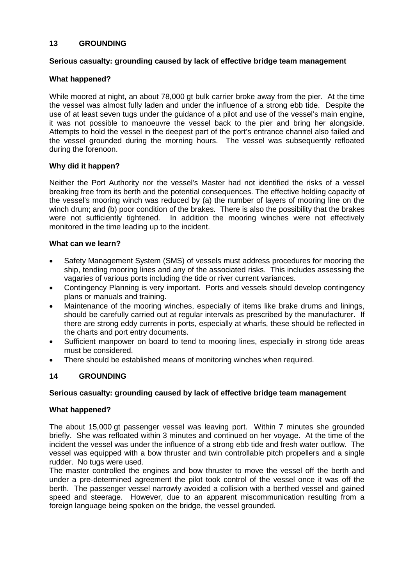## **13 GROUNDING**

### **Serious casualty: grounding caused by lack of effective bridge team management**

### **What happened?**

While moored at night, an about 78,000 gt bulk carrier broke away from the pier. At the time the vessel was almost fully laden and under the influence of a strong ebb tide. Despite the use of at least seven tugs under the guidance of a pilot and use of the vessel's main engine, it was not possible to manoeuvre the vessel back to the pier and bring her alongside. Attempts to hold the vessel in the deepest part of the port's entrance channel also failed and the vessel grounded during the morning hours. The vessel was subsequently refloated during the forenoon.

### **Why did it happen?**

Neither the Port Authority nor the vessel's Master had not identified the risks of a vessel breaking free from its berth and the potential consequences. The effective holding capacity of the vessel's mooring winch was reduced by (a) the number of layers of mooring line on the winch drum; and (b) poor condition of the brakes. There is also the possibility that the brakes were not sufficiently tightened. In addition the mooring winches were not effectively monitored in the time leading up to the incident.

### **What can we learn?**

- Safety Management System (SMS) of vessels must address procedures for mooring the ship, tending mooring lines and any of the associated risks. This includes assessing the vagaries of various ports including the tide or river current variances.
- Contingency Planning is very important. Ports and vessels should develop contingency plans or manuals and training.
- Maintenance of the mooring winches, especially of items like brake drums and linings, should be carefully carried out at regular intervals as prescribed by the manufacturer. If there are strong eddy currents in ports, especially at wharfs, these should be reflected in the charts and port entry documents.
- Sufficient manpower on board to tend to mooring lines, especially in strong tide areas must be considered.
- There should be established means of monitoring winches when required.

## **14 GROUNDING**

#### **Serious casualty: grounding caused by lack of effective bridge team management**

#### **What happened?**

The about 15,000 gt passenger vessel was leaving port. Within 7 minutes she grounded briefly. She was refloated within 3 minutes and continued on her voyage. At the time of the incident the vessel was under the influence of a strong ebb tide and fresh water outflow. The vessel was equipped with a bow thruster and twin controllable pitch propellers and a single rudder. No tugs were used.

The master controlled the engines and bow thruster to move the vessel off the berth and under a pre-determined agreement the pilot took control of the vessel once it was off the berth. The passenger vessel narrowly avoided a collision with a berthed vessel and gained speed and steerage. However, due to an apparent miscommunication resulting from a foreign language being spoken on the bridge, the vessel grounded.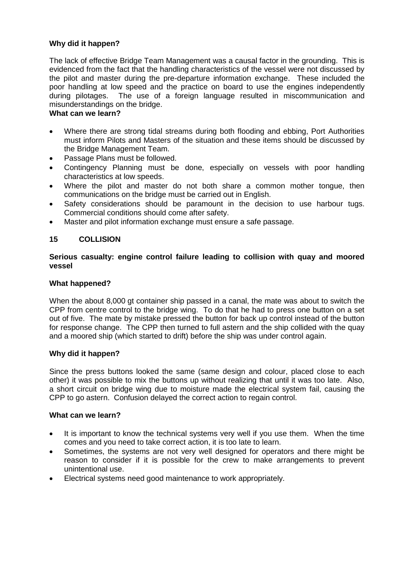The lack of effective Bridge Team Management was a causal factor in the grounding. This is evidenced from the fact that the handling characteristics of the vessel were not discussed by the pilot and master during the pre-departure information exchange. These included the poor handling at low speed and the practice on board to use the engines independently during pilotages. The use of a foreign language resulted in miscommunication and misunderstandings on the bridge.

### **What can we learn?**

- Where there are strong tidal streams during both flooding and ebbing, Port Authorities must inform Pilots and Masters of the situation and these items should be discussed by the Bridge Management Team.
- Passage Plans must be followed.
- Contingency Planning must be done, especially on vessels with poor handling characteristics at low speeds.
- Where the pilot and master do not both share a common mother tongue, then communications on the bridge must be carried out in English.
- Safety considerations should be paramount in the decision to use harbour tugs. Commercial conditions should come after safety.
- Master and pilot information exchange must ensure a safe passage.

# **15 COLLISION**

### **Serious casualty: engine control failure leading to collision with quay and moored vessel**

### **What happened?**

When the about 8,000 gt container ship passed in a canal, the mate was about to switch the CPP from centre control to the bridge wing. To do that he had to press one button on a set out of five. The mate by mistake pressed the button for back up control instead of the button for response change. The CPP then turned to full astern and the ship collided with the quay and a moored ship (which started to drift) before the ship was under control again.

## **Why did it happen?**

Since the press buttons looked the same (same design and colour, placed close to each other) it was possible to mix the buttons up without realizing that until it was too late. Also, a short circuit on bridge wing due to moisture made the electrical system fail, causing the CPP to go astern. Confusion delayed the correct action to regain control.

- It is important to know the technical systems very well if you use them. When the time comes and you need to take correct action, it is too late to learn.
- Sometimes, the systems are not very well designed for operators and there might be reason to consider if it is possible for the crew to make arrangements to prevent unintentional use.
- Electrical systems need good maintenance to work appropriately.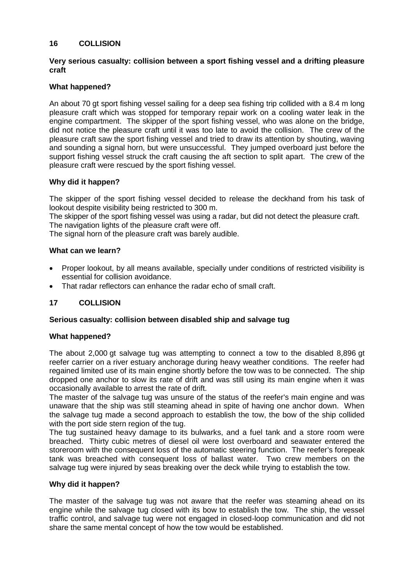## **16 COLLISION**

### **Very serious casualty: collision between a sport fishing vessel and a drifting pleasure craft**

### **What happened?**

An about 70 gt sport fishing vessel sailing for a deep sea fishing trip collided with a 8.4 m long pleasure craft which was stopped for temporary repair work on a cooling water leak in the engine compartment. The skipper of the sport fishing vessel, who was alone on the bridge, did not notice the pleasure craft until it was too late to avoid the collision. The crew of the pleasure craft saw the sport fishing vessel and tried to draw its attention by shouting, waving and sounding a signal horn, but were unsuccessful. They jumped overboard just before the support fishing vessel struck the craft causing the aft section to split apart. The crew of the pleasure craft were rescued by the sport fishing vessel.

### **Why did it happen?**

The skipper of the sport fishing vessel decided to release the deckhand from his task of lookout despite visibility being restricted to 300 m.

The skipper of the sport fishing vessel was using a radar, but did not detect the pleasure craft. The navigation lights of the pleasure craft were off.

The signal horn of the pleasure craft was barely audible.

#### **What can we learn?**

- Proper lookout, by all means available, specially under conditions of restricted visibility is essential for collision avoidance.
- That radar reflectors can enhance the radar echo of small craft.

## **17 COLLISION**

#### **Serious casualty: collision between disabled ship and salvage tug**

#### **What happened?**

The about 2,000 gt salvage tug was attempting to connect a tow to the disabled 8,896 gt reefer carrier on a river estuary anchorage during heavy weather conditions. The reefer had regained limited use of its main engine shortly before the tow was to be connected. The ship dropped one anchor to slow its rate of drift and was still using its main engine when it was occasionally available to arrest the rate of drift.

The master of the salvage tug was unsure of the status of the reefer's main engine and was unaware that the ship was still steaming ahead in spite of having one anchor down. When the salvage tug made a second approach to establish the tow, the bow of the ship collided with the port side stern region of the tug.

The tug sustained heavy damage to its bulwarks, and a fuel tank and a store room were breached. Thirty cubic metres of diesel oil were lost overboard and seawater entered the storeroom with the consequent loss of the automatic steering function. The reefer's forepeak tank was breached with consequent loss of ballast water. Two crew members on the salvage tug were injured by seas breaking over the deck while trying to establish the tow.

#### **Why did it happen?**

The master of the salvage tug was not aware that the reefer was steaming ahead on its engine while the salvage tug closed with its bow to establish the tow. The ship, the vessel traffic control, and salvage tug were not engaged in closed-loop communication and did not share the same mental concept of how the tow would be established.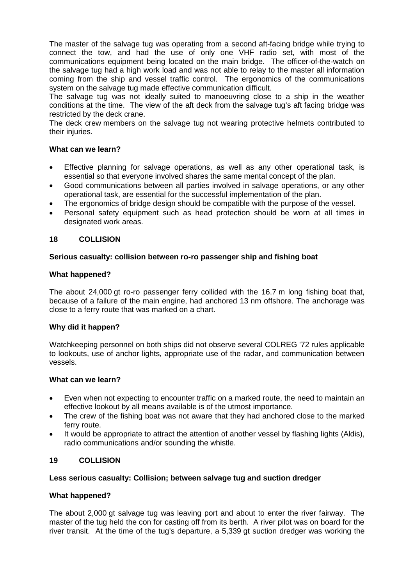The master of the salvage tug was operating from a second aft-facing bridge while trying to connect the tow, and had the use of only one VHF radio set, with most of the communications equipment being located on the main bridge. The officer-of-the-watch on the salvage tug had a high work load and was not able to relay to the master all information coming from the ship and vessel traffic control. The ergonomics of the communications system on the salvage tug made effective communication difficult.

The salvage tug was not ideally suited to manoeuvring close to a ship in the weather conditions at the time. The view of the aft deck from the salvage tug's aft facing bridge was restricted by the deck crane.

The deck crew members on the salvage tug not wearing protective helmets contributed to their injuries.

## **What can we learn?**

- Effective planning for salvage operations, as well as any other operational task, is essential so that everyone involved shares the same mental concept of the plan.
- Good communications between all parties involved in salvage operations, or any other operational task, are essential for the successful implementation of the plan.
- The ergonomics of bridge design should be compatible with the purpose of the vessel.
- Personal safety equipment such as head protection should be worn at all times in designated work areas.

## **18 COLLISION**

### **Serious casualty: collision between ro-ro passenger ship and fishing boat**

### **What happened?**

The about 24,000 gt ro-ro passenger ferry collided with the 16.7 m long fishing boat that, because of a failure of the main engine, had anchored 13 nm offshore. The anchorage was close to a ferry route that was marked on a chart.

#### **Why did it happen?**

Watchkeeping personnel on both ships did not observe several COLREG '72 rules applicable to lookouts, use of anchor lights, appropriate use of the radar, and communication between vessels.

### **What can we learn?**

- Even when not expecting to encounter traffic on a marked route, the need to maintain an effective lookout by all means available is of the utmost importance.
- The crew of the fishing boat was not aware that they had anchored close to the marked ferry route.
- It would be appropriate to attract the attention of another vessel by flashing lights (Aldis), radio communications and/or sounding the whistle.

## **19 COLLISION**

#### **Less serious casualty: Collision; between salvage tug and suction dredger**

#### **What happened?**

The about 2,000 gt salvage tug was leaving port and about to enter the river fairway. The master of the tug held the con for casting off from its berth. A river pilot was on board for the river transit. At the time of the tug's departure, a 5,339 gt suction dredger was working the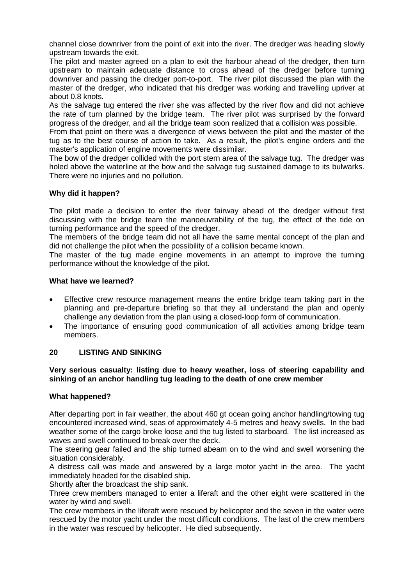channel close downriver from the point of exit into the river. The dredger was heading slowly upstream towards the exit.

The pilot and master agreed on a plan to exit the harbour ahead of the dredger, then turn upstream to maintain adequate distance to cross ahead of the dredger before turning downriver and passing the dredger port-to-port. The river pilot discussed the plan with the master of the dredger, who indicated that his dredger was working and travelling upriver at about 0.8 knots.

As the salvage tug entered the river she was affected by the river flow and did not achieve the rate of turn planned by the bridge team. The river pilot was surprised by the forward progress of the dredger, and all the bridge team soon realized that a collision was possible.

From that point on there was a divergence of views between the pilot and the master of the tug as to the best course of action to take. As a result, the pilot's engine orders and the master's application of engine movements were dissimilar.

The bow of the dredger collided with the port stern area of the salvage tug. The dredger was holed above the waterline at the bow and the salvage tug sustained damage to its bulwarks. There were no injuries and no pollution.

## **Why did it happen?**

The pilot made a decision to enter the river fairway ahead of the dredger without first discussing with the bridge team the manoeuvrability of the tug, the effect of the tide on turning performance and the speed of the dredger.

The members of the bridge team did not all have the same mental concept of the plan and did not challenge the pilot when the possibility of a collision became known.

The master of the tug made engine movements in an attempt to improve the turning performance without the knowledge of the pilot.

### **What have we learned?**

- Effective crew resource management means the entire bridge team taking part in the planning and pre-departure briefing so that they all understand the plan and openly challenge any deviation from the plan using a closed-loop form of communication.
- The importance of ensuring good communication of all activities among bridge team members.

## **20 LISTING AND SINKING**

## **Very serious casualty: listing due to heavy weather, loss of steering capability and sinking of an anchor handling tug leading to the death of one crew member**

#### **What happened?**

After departing port in fair weather, the about 460 gt ocean going anchor handling/towing tug encountered increased wind, seas of approximately 4-5 metres and heavy swells. In the bad weather some of the cargo broke loose and the tug listed to starboard. The list increased as waves and swell continued to break over the deck.

The steering gear failed and the ship turned abeam on to the wind and swell worsening the situation considerably.

A distress call was made and answered by a large motor yacht in the area. The yacht immediately headed for the disabled ship.

Shortly after the broadcast the ship sank.

Three crew members managed to enter a liferaft and the other eight were scattered in the water by wind and swell.

The crew members in the liferaft were rescued by helicopter and the seven in the water were rescued by the motor yacht under the most difficult conditions. The last of the crew members in the water was rescued by helicopter. He died subsequently.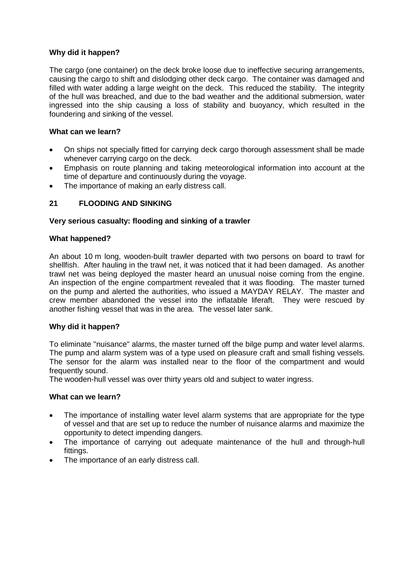The cargo (one container) on the deck broke loose due to ineffective securing arrangements, causing the cargo to shift and dislodging other deck cargo. The container was damaged and filled with water adding a large weight on the deck. This reduced the stability. The integrity of the hull was breached, and due to the bad weather and the additional submersion, water ingressed into the ship causing a loss of stability and buoyancy, which resulted in the foundering and sinking of the vessel.

## **What can we learn?**

- On ships not specially fitted for carrying deck cargo thorough assessment shall be made whenever carrying cargo on the deck.
- Emphasis on route planning and taking meteorological information into account at the time of departure and continuously during the voyage.
- The importance of making an early distress call.

# **21 FLOODING AND SINKING**

## **Very serious casualty: flooding and sinking of a trawler**

### **What happened?**

An about 10 m long, wooden-built trawler departed with two persons on board to trawl for shellfish. After hauling in the trawl net, it was noticed that it had been damaged. As another trawl net was being deployed the master heard an unusual noise coming from the engine. An inspection of the engine compartment revealed that it was flooding. The master turned on the pump and alerted the authorities, who issued a MAYDAY RELAY. The master and crew member abandoned the vessel into the inflatable liferaft. They were rescued by another fishing vessel that was in the area. The vessel later sank.

## **Why did it happen?**

To eliminate "nuisance" alarms, the master turned off the bilge pump and water level alarms. The pump and alarm system was of a type used on pleasure craft and small fishing vessels. The sensor for the alarm was installed near to the floor of the compartment and would frequently sound.

The wooden-hull vessel was over thirty years old and subject to water ingress.

- The importance of installing water level alarm systems that are appropriate for the type of vessel and that are set up to reduce the number of nuisance alarms and maximize the opportunity to detect impending dangers.
- The importance of carrying out adequate maintenance of the hull and through-hull fittings.
- The importance of an early distress call.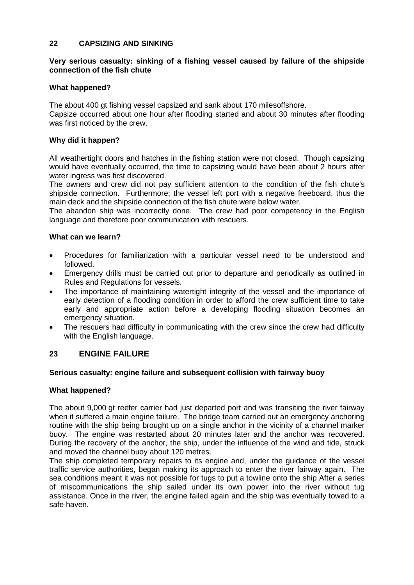## **22 CAPSIZING AND SINKING**

## **Very serious casualty: sinking of a fishing vessel caused by failure of the shipside connection of the fish chute**

## **What happened?**

The about 400 gt fishing vessel capsized and sank about 170 milesoffshore.

Capsize occurred about one hour after flooding started and about 30 minutes after flooding was first noticed by the crew.

### **Why did it happen?**

All weathertight doors and hatches in the fishing station were not closed. Though capsizing would have eventually occurred, the time to capsizing would have been about 2 hours after water ingress was first discovered.

The owners and crew did not pay sufficient attention to the condition of the fish chute's shipside connection. Furthermore; the vessel left port with a negative freeboard, thus the main deck and the shipside connection of the fish chute were below water.

The abandon ship was incorrectly done. The crew had poor competency in the English language and therefore poor communication with rescuers.

### **What can we learn?**

- Procedures for familiarization with a particular vessel need to be understood and followed.
- Emergency drills must be carried out prior to departure and periodically as outlined in Rules and Regulations for vessels.
- The importance of maintaining watertight integrity of the vessel and the importance of early detection of a flooding condition in order to afford the crew sufficient time to take early and appropriate action before a developing flooding situation becomes an emergency situation.
- The rescuers had difficulty in communicating with the crew since the crew had difficulty with the English language.

# **23 ENGINE FAILURE**

#### **Serious casualty: engine failure and subsequent collision with fairway buoy**

#### **What happened?**

The about 9,000 gt reefer carrier had just departed port and was transiting the river fairway when it suffered a main engine failure. The bridge team carried out an emergency anchoring routine with the ship being brought up on a single anchor in the vicinity of a channel marker buoy. The engine was restarted about 20 minutes later and the anchor was recovered. During the recovery of the anchor, the ship, under the influence of the wind and tide, struck and moved the channel buoy about 120 metres.

The ship completed temporary repairs to its engine and, under the guidance of the vessel traffic service authorities, began making its approach to enter the river fairway again. The sea conditions meant it was not possible for tugs to put a towline onto the ship.After a series of miscommunications the ship sailed under its own power into the river without tug assistance. Once in the river, the engine failed again and the ship was eventually towed to a safe haven.